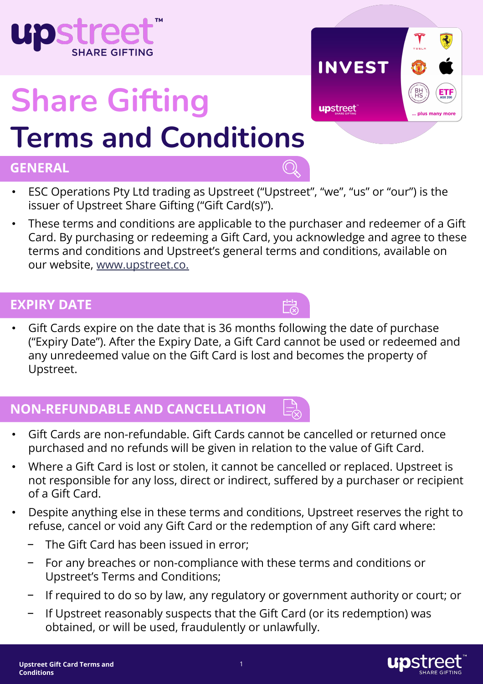

- For any breaches or non-compliance with these terms and conditions or Upstreet's Terms and Conditions;
- If required to do so by law, any regulatory or government authority or court; or
- If Upstreet reasonably suspects that the Gift Card (or its redemption) was obtained, or will be used, fraudulently or unlawfully.

# **Share Gifting Terms and Conditions**

#### **GENERAL**

- ESC Operations Pty Ltd trading as Upstreet ("Upstreet", "we", "us" or "our") is the issuer of Upstreet Share Gifting ("Gift Card(s)").
- These terms and conditions are applicable to the purchaser and redeemer of a Gift Card. By purchasing or redeeming a Gift Card, you acknowledge and agree to these terms and conditions and Upstreet's general terms and conditions, available on our website, www.upstreet.co.

#### **EXPIRY DATE**

• Gift Cards expire on the date that is 36 months following the date of purchase ("Expiry Date"). After the Expiry Date, a Gift Card cannot be used or redeemed and any unredeemed value on the Gift Card is lost and becomes the property of Upstreet.

 $\frac{1}{\sqrt{2}}$ 

## **NON-REFUNDABLE AND CANCELLATION**

- Gift Cards are non-refundable. Gift Cards cannot be cancelled or returned once purchased and no refunds will be given in relation to the value of Gift Card.
- Where a Gift Card is lost or stolen, it cannot be cancelled or replaced. Upstreet is not responsible for any loss, direct or indirect, suffered by a purchaser or recipient of a Gift Card.
- Despite anything else in these terms and conditions, Upstreet reserves the right to refuse, cancel or void any Gift Card or the redemption of any Gift card where:
	- The Gift Card has been issued in error;
	-





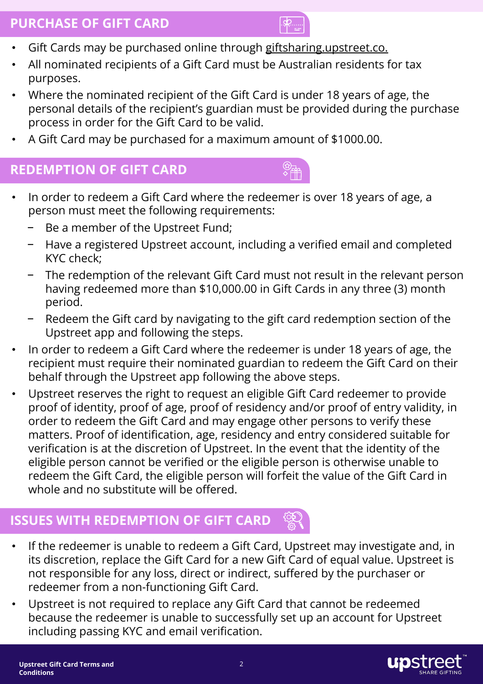#### **PURCHASE OF GIFT CARD**



- Gift Cards may be purchased online through giftsharing.upstreet.co.
- All nominated recipients of a Gift Card must be Australian residents for tax purposes.
- Where the nominated recipient of the Gift Card is under 18 years of age, the personal details of the recipient's guardian must be provided during the purchase process in order for the Gift Card to be valid.
- A Gift Card may be purchased for a maximum amount of \$1000.00.

#### **REDEMPTION OF GIFT CARD**

- In order to redeem a Gift Card where the redeemer is over 18 years of age, a person must meet the following requirements:
	- Be a member of the Upstreet Fund:
	- − Have a registered Upstreet account, including a verified email and completed KYC check;
	- The redemption of the relevant Gift Card must not result in the relevant person having redeemed more than \$10,000.00 in Gift Cards in any three (3) month period.
	- Redeem the Gift card by navigating to the gift card redemption section of the Upstreet app and following the steps.
- In order to redeem a Gift Card where the redeemer is under 18 years of age, the recipient must require their nominated guardian to redeem the Gift Card on their behalf through the Upstreet app following the above steps.
- Upstreet reserves the right to request an eligible Gift Card redeemer to provide proof of identity, proof of age, proof of residency and/or proof of entry validity, in order to redeem the Gift Card and may engage other persons to verify these matters. Proof of identification, age, residency and entry considered suitable for verification is at the discretion of Upstreet. In the event that the identity of the eligible person cannot be verified or the eligible person is otherwise unable to redeem the Gift Card, the eligible person will forfeit the value of the Gift Card in whole and no substitute will be offered.

### **ISSUES WITH REDEMPTION OF GIFT CARD**

- If the redeemer is unable to redeem a Gift Card, Upstreet may investigate and, in its discretion, replace the Gift Card for a new Gift Card of equal value. Upstreet is not responsible for any loss, direct or indirect, suffered by the purchaser or redeemer from a non-functioning Gift Card.
- Upstreet is not required to replace any Gift Card that cannot be redeemed because the redeemer is unable to successfully set up an account for Upstreet including passing KYC and email verification.